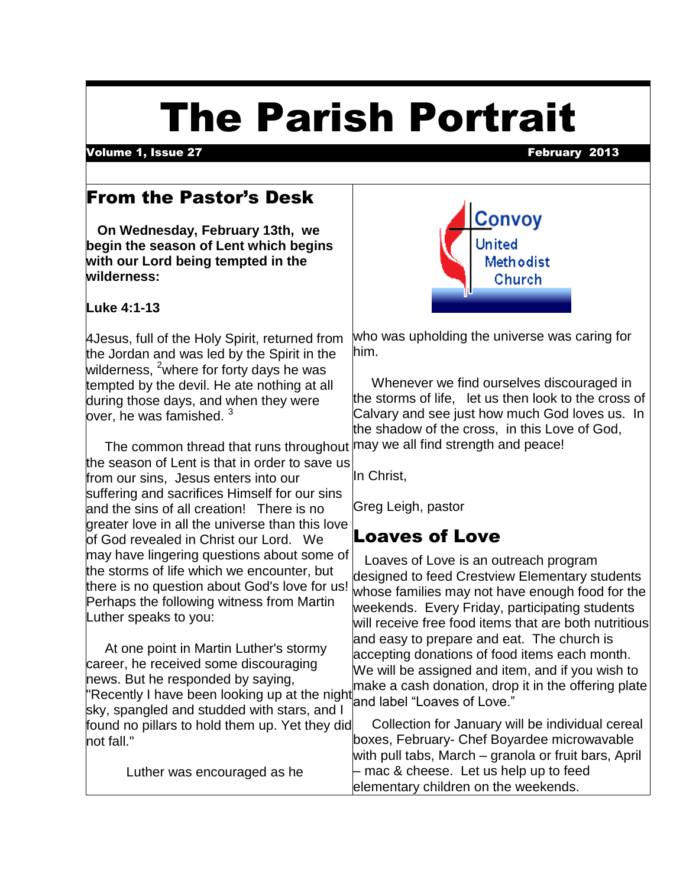# The Parish Portrait

Volume 1, Issue 27 February 2013

# From the Pastor's Desk

 **On Wednesday, February 13th, we begin the season of Lent which begins with our Lord being tempted in the wilderness:**

**Luke 4:1-13**

4Jesus, full of the Holy Spirit, returned from the Jordan and was led by the Spirit in the wilderness, <sup>2</sup>where for forty days he was tempted by the devil. He ate nothing at all during those days, and when they were lover, he was famished.  $^3$ 

The common thread that runs throughout  $\vert$ may we all find strength and peace! the season of Lent is that in order to save us from our sins, Jesus enters into our suffering and sacrifices Himself for our sins and the sins of all creation! There is no greater love in all the universe than this love of God revealed in Christ our Lord. We may have lingering questions about some of the storms of life which we encounter, but there is no question about God's love for us! Perhaps the following witness from Martin Luther speaks to you:

 At one point in Martin Luther's stormy career, he received some discouraging news. But he responded by saying, "Recently I have been looking up at the night sky, spangled and studded with stars, and I found no pillars to hold them up. Yet they did not fall."

Luther was encouraged as he



who was upholding the universe was caring for him.

 Whenever we find ourselves discouraged in the storms of life, let us then look to the cross of Calvary and see just how much God loves us. In the shadow of the cross, in this Love of God,

In Christ,

Greg Leigh, pastor

# Loaves of Love

 Loaves of Love is an outreach program designed to feed Crestview Elementary students whose families may not have enough food for the weekends. Every Friday, participating students will receive free food items that are both nutritious and easy to prepare and eat. The church is accepting donations of food items each month. We will be assigned and item, and if you wish to make a cash donation, drop it in the offering plate and label "Loaves of Love."

 Collection for January will be individual cereal boxes, February- Chef Boyardee microwavable with pull tabs, March – granola or fruit bars, April – mac & cheese. Let us help up to feed elementary children on the weekends.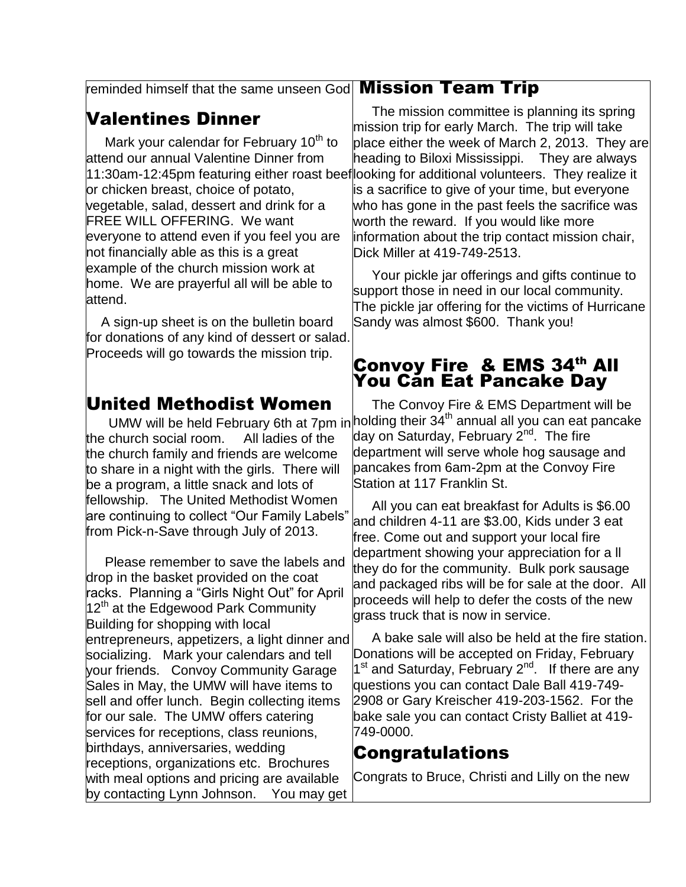#### reminded himself that the same unseen God **Mission Team Trip**

## Valentines Dinner

Mark your calendar for February 10<sup>th</sup> to attend our annual Valentine Dinner from 11:30am-12:45pm featuring either roast beef or chicken breast, choice of potato, vegetable, salad, dessert and drink for a FREE WILL OFFERING. We want everyone to attend even if you feel you are not financially able as this is a great example of the church mission work at home. We are prayerful all will be able to attend.

 A sign-up sheet is on the bulletin board for donations of any kind of dessert or salad. Proceeds will go towards the mission trip.

#### United Methodist Women

the church social room. All ladies of the the church family and friends are welcome to share in a night with the girls. There will be a program, a little snack and lots of fellowship. The United Methodist Women are continuing to collect "Our Family Labels" from Pick-n-Save through July of 2013.

 Please remember to save the labels and drop in the basket provided on the coat racks. Planning a "Girls Night Out" for April  $12<sup>th</sup>$  at the Edgewood Park Community Building for shopping with local entrepreneurs, appetizers, a light dinner and socializing. Mark your calendars and tell your friends. Convoy Community Garage Sales in May, the UMW will have items to sell and offer lunch. Begin collecting items for our sale. The UMW offers catering services for receptions, class reunions, birthdays, anniversaries, wedding receptions, organizations etc. Brochures with meal options and pricing are available by contacting Lynn Johnson. You may get

 The mission committee is planning its spring mission trip for early March. The trip will take place either the week of March 2, 2013. They are heading to Biloxi Mississippi. They are always looking for additional volunteers. They realize it s a sacrifice to give of your time, but everyone who has gone in the past feels the sacrifice was worth the reward. If you would like more information about the trip contact mission chair, Dick Miller at 419-749-2513.

 Your pickle jar offerings and gifts continue to support those in need in our local community. The pickle jar offering for the victims of Hurricane Sandy was almost \$600. Thank you!

#### Convoy Fire & EMS 34th All You Can Eat Pancake Day

UMW will be held February 6th at 7pm in holding their  $34<sup>th</sup>$  annual all you can eat pancake The Convoy Fire & EMS Department will be day on Saturday, February 2<sup>nd</sup>. The fire department will serve whole hog sausage and pancakes from 6am-2pm at the Convoy Fire Station at 117 Franklin St.

> All you can eat breakfast for Adults is \$6.00 and children 4-11 are \$3.00, Kids under 3 eat free. Come out and support your local fire department showing your appreciation for a ll they do for the community. Bulk pork sausage and packaged ribs will be for sale at the door. All proceeds will help to defer the costs of the new grass truck that is now in service.

> A bake sale will also be held at the fire station. Donations will be accepted on Friday, February 1<sup>st</sup> and Saturday, February 2<sup>nd</sup>. If there are any questions you can contact Dale Ball 419-749- 2908 or Gary Kreischer 419-203-1562. For the bake sale you can contact Cristy Balliet at 419- 749-0000.

#### Congratulations

Congrats to Bruce, Christi and Lilly on the new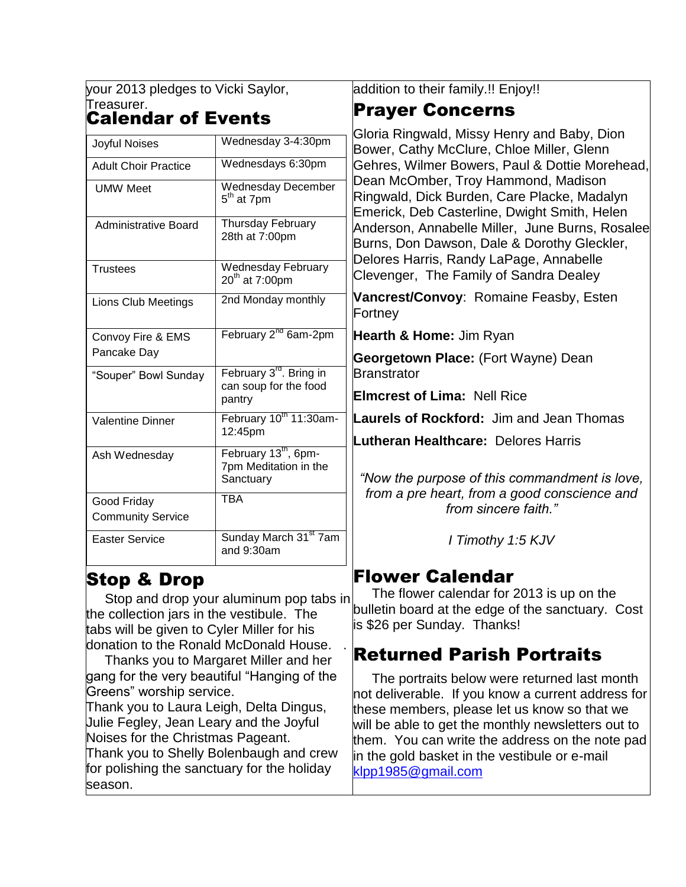your 2013 pledges to Vicki Saylor, Treasurer. Calendar of Events

| Joyful Noises                    | Wednesday 3-4:30pm                                                     |
|----------------------------------|------------------------------------------------------------------------|
| <b>Adult Choir Practice</b>      | Wednesdays 6:30pm                                                      |
| <b>UMW Meet</b>                  | <b>Wednesday December</b><br>5 <sup>th</sup> at 7pm                    |
| Administrative Board             | Thursday February<br>28th at 7:00pm                                    |
| <b>Trustees</b>                  | Wednesday February<br>$20th$ at 7:00pm                                 |
| Lions Club Meetings              | 2nd Monday monthly                                                     |
| Convoy Fire & EMS<br>Pancake Day | February 2 <sup>nd</sup> 6am-2pm                                       |
| "Souper" Bowl Sunday             | February 3 <sup>rd</sup> . Bring in<br>can soup for the food<br>pantry |
| <b>Valentine Dinner</b>          | February 10th 11:30am-<br>12:45pm                                      |
| Ash Wednesday                    | February 13 <sup>th</sup> , 6pm-<br>7pm Meditation in the<br>Sanctuary |
| Good Friday                      | <b>TBA</b>                                                             |
| <b>Community Service</b>         |                                                                        |
| <b>Easter Service</b>            | Sunday March 31 <sup>st</sup> 7am<br>and $9:30$ am                     |

#### Stop & Drop

 Stop and drop your aluminum pop tabs in the collection jars in the vestibule. The tabs will be given to Cyler Miller for his donation to the Ronald McDonald House.

 Thanks you to Margaret Miller and her gang for the very beautiful "Hanging of the Greens" worship service.

Thank you to Laura Leigh, Delta Dingus, Julie Fegley, Jean Leary and the Joyful Noises for the Christmas Pageant. Thank you to Shelly Bolenbaugh and crew for polishing the sanctuary for the holiday season.

addition to their family.!! Enjoy!!

# Prayer Concerns

Gloria Ringwald, Missy Henry and Baby, Dion Bower, Cathy McClure, Chloe Miller, Glenn Gehres, Wilmer Bowers, Paul & Dottie Morehead, Dean McOmber, Troy Hammond, Madison Ringwald, Dick Burden, Care Placke, Madalyn Emerick, Deb Casterline, Dwight Smith, Helen Anderson, Annabelle Miller, June Burns, Rosalee Burns, Don Dawson, Dale & Dorothy Gleckler, Delores Harris, Randy LaPage, Annabelle Clevenger, The Family of Sandra Dealey

**Vancrest/Convoy**: Romaine Feasby, Esten Fortney

**Hearth & Home:** Jim Ryan

**Georgetown Place:** (Fort Wayne) Dean **Branstrator** 

**Elmcrest of Lima:** Nell Rice

**Laurels of Rockford:** Jim and Jean Thomas

**Lutheran Healthcare:** Delores Harris

*"Now the purpose of this commandment is love, from a pre heart, from a good conscience and from sincere faith."*

*I Timothy 1:5 KJV*

#### Flower Calendar

 The flower calendar for 2013 is up on the bulletin board at the edge of the sanctuary. Cost is \$26 per Sunday. Thanks!

#### Returned Parish Portraits

 The portraits below were returned last month not deliverable. If you know a current address for these members, please let us know so that we will be able to get the monthly newsletters out to them. You can write the address on the note pad in the gold basket in the vestibule or e-mail [klpp1985@gmail.com](mailto:klpp1985@gmail.com)